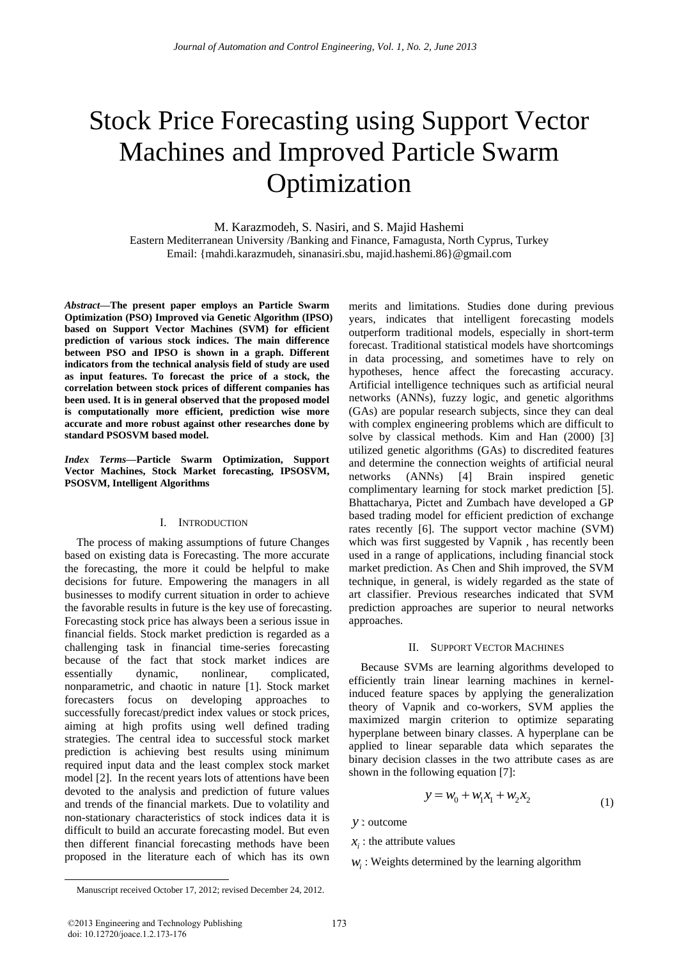# Stock Price Forecasting using Support Vector Machines and Improved Particle Swarm Optimization

M. Karazmodeh, S. Nasiri, and S. Majid Hashemi

Eastern Mediterranean University /Banking and Finance, Famagusta, North Cyprus, Turkey Email: {mahdi.karazmudeh, sinanasiri.sbu, majid.hashemi.86}@gmail.com

*Abstract***—The present paper employs an Particle Swarm Optimization (PSO) Improved via Genetic Algorithm (IPSO) based on Support Vector Machines (SVM) for efficient prediction of various stock indices. The main difference between PSO and IPSO is shown in a graph. Different indicators from the technical analysis field of study are used as input features. To forecast the price of a stock, the correlation between stock prices of different companies has been used. It is in general observed that the proposed model is computationally more efficient, prediction wise more accurate and more robust against other researches done by standard PSOSVM based model.** 

*Index Terms***—Particle Swarm Optimization, Support Vector Machines, Stock Market forecasting, IPSOSVM, PSOSVM, Intelligent Algorithms**

## I. INTRODUCTION

The process of making assumptions of future Changes based on existing data is Forecasting. The more accurate the forecasting, the more it could be helpful to make decisions for future. Empowering the managers in all businesses to modify current situation in order to achieve the favorable results in future is the key use of forecasting. Forecasting stock price has always been a serious issue in financial fields. Stock market prediction is regarded as a challenging task in financial time-series forecasting because of the fact that stock market indices are essentially dynamic, nonlinear, complicated, nonparametric, and chaotic in nature [1]. Stock market forecasters focus on developing approaches to successfully forecast/predict index values or stock prices, aiming at high profits using well defined trading strategies. The central idea to successful stock market prediction is achieving best results using minimum required input data and the least complex stock market model [2]. In the recent years lots of attentions have been devoted to the analysis and prediction of future values and trends of the financial markets. Due to volatility and non-stationary characteristics of stock indices data it is difficult to build an accurate forecasting model. But even then different financial forecasting methods have been proposed in the literature each of which has its own

merits and limitations. Studies done during previous years, indicates that intelligent forecasting models outperform traditional models, especially in short-term forecast. Traditional statistical models have shortcomings in data processing, and sometimes have to rely on hypotheses, hence affect the forecasting accuracy. Artificial intelligence techniques such as artificial neural networks (ANNs), fuzzy logic, and genetic algorithms (GAs) are popular research subjects, since they can deal with complex engineering problems which are difficult to solve by classical methods. Kim and Han (2000) [3] utilized genetic algorithms (GAs) to discredited features and determine the connection weights of artificial neural networks (ANNs) [4] Brain inspired genetic complimentary learning for stock market prediction [5]. Bhattacharya, Pictet and Zumbach have developed a GP based trading model for efficient prediction of exchange rates recently [6]. The support vector machine (SVM) which was first suggested by Vapnik , has recently been used in a range of applications, including financial stock market prediction. As Chen and Shih improved, the SVM technique, in general, is widely regarded as the state of art classifier. Previous researches indicated that SVM prediction approaches are superior to neural networks approaches.

## II. SUPPORT VECTOR MACHINES

Because SVMs are learning algorithms developed to efficiently train linear learning machines in kernelinduced feature spaces by applying the generalization theory of Vapnik and co-workers, SVM applies the maximized margin criterion to optimize separating hyperplane between binary classes. A hyperplane can be applied to linear separable data which separates the binary decision classes in the two attribute cases as are shown in the following equation [7]:

$$
y = w_0 + w_1 x_1 + w_2 x_2 \tag{1}
$$

*y* :: outcome

## $x_i$ : the attribute values

 $W_i$ : Weights determined by the learning algorithm

©2013 Engineering and Technology Publishing 173 doi: 10.12720/joace.1.2.173-176

 $\overline{a}$ 

Manuscript received October 17, 2012; revised December 24, 2012.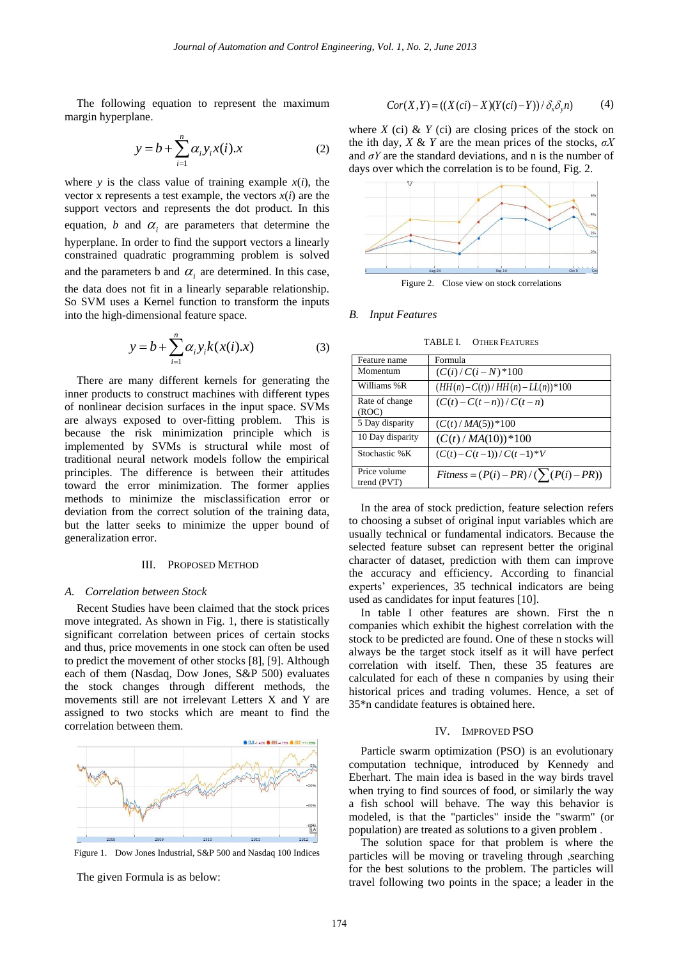The following equation to represent the maximum margin hyperplane.

$$
y = b + \sum_{i=1}^{n} \alpha_i y_i x(i).x
$$
 (2)

where *y* is the class value of training example  $x(i)$ , the vector x represents a test example, the vectors  $x(i)$  are the support vectors and represents the dot product. In this equation,  $b$  and  $\alpha$ <sub>i</sub> are parameters that determine the hyperplane. In order to find the support vectors a linearly constrained quadratic programming problem is solved and the parameters b and  $\alpha$ <sub>i</sub> are determined. In this case, the data does not fit in a linearly separable relationship. So SVM uses a Kernel function to transform the inputs into the high-dimensional feature space.

$$
y = b + \sum_{i=1}^{n} \alpha_i y_i k(x(i).x)
$$
 (3)

There are many different kernels for generating the inner products to construct machines with different types of nonlinear decision surfaces in the input space. SVMs are always exposed to over-fitting problem. This is because the risk minimization principle which is implemented by SVMs is structural while most of traditional neural network models follow the empirical principles. The difference is between their attitudes toward the error minimization. The former applies methods to minimize the misclassification error or deviation from the correct solution of the training data, but the latter seeks to minimize the upper bound of generalization error.

## III. PROPOSED METHOD

## *A. Correlation between Stock*

Recent Studies have been claimed that the stock prices move integrated. As shown in Fig. 1, there is statistically significant correlation between prices of certain stocks and thus, price movements in one stock can often be used to predict the movement of other stocks [8], [9]. Although each of them (Nasdaq, Dow Jones, S&P 500) evaluates the stock changes through different methods, the movements still are not irrelevant Letters X and Y are assigned to two stocks which are meant to find the correlation between them.



Figure 1. Dow Jones Industrial, S&P 500 and Nasdaq 100 Indices

The given Formula is as below:

$$
Cor(X,Y) = ((X(ct) - X)(Y(ct) - Y)) / \delta_x \delta_y n)
$$
 (4)

where  $X$  (ci)  $\& Y$  (ci) are closing prices of the stock on the ith day, *X* & *Y* are the mean prices of the stocks, *σX* and  $\sigma Y$  are the standard deviations, and n is the number of days over which the correlation is to be found, Fig. 2.



Figure 2. Close view on stock correlations

## *B. Input Features*

TABLE I. OTHER FEATURES

| Feature name                | Formula                                      |
|-----------------------------|----------------------------------------------|
| Momentum                    | $(C(i)/C(i-N)*100$                           |
| Williams %R                 | $(HH(n)-C(t))/HH(n)-LL(n)*100$               |
| Rate of change<br>(ROC)     | $(C(t)-C(t-n))/C(t-n)$                       |
| 5 Day disparity             | $(C(t)/MA(5))$ * 100                         |
| 10 Day disparity            | $(C(t)/MA(10))^*100$                         |
| Stochastic %K               | $(C(t)-C(t-1))/C(t-1)*V$                     |
| Price volume<br>trend (PVT) | $Fitness = (P(i) - PR) / (\sum (P(i) - PR))$ |
|                             |                                              |

In the area of stock prediction, feature selection refers to choosing a subset of original input variables which are usually technical or fundamental indicators. Because the selected feature subset can represent better the original character of dataset, prediction with them can improve the accuracy and efficiency. According to financial experts' experiences, 35 technical indicators are being used as candidates for input features [10].

In table I other features are shown. First the n companies which exhibit the highest correlation with the stock to be predicted are found. One of these n stocks will always be the target stock itself as it will have perfect correlation with itself. Then, these 35 features are calculated for each of these n companies by using their historical prices and trading volumes. Hence, a set of 35\*n candidate features is obtained here.

## IV. IMPROVED PSO

Particle swarm optimization (PSO) is an evolutionary computation technique, introduced by Kennedy and Eberhart. The main idea is based in the way birds travel when trying to find sources of food, or similarly the way a fish school will behave. The way this behavior is modeled, is that the "particles" inside the "swarm" (or population) are treated as solutions to a given problem .

The solution space for that problem is where the particles will be moving or traveling through ,searching for the best solutions to the problem. The particles will travel following two points in the space; a leader in the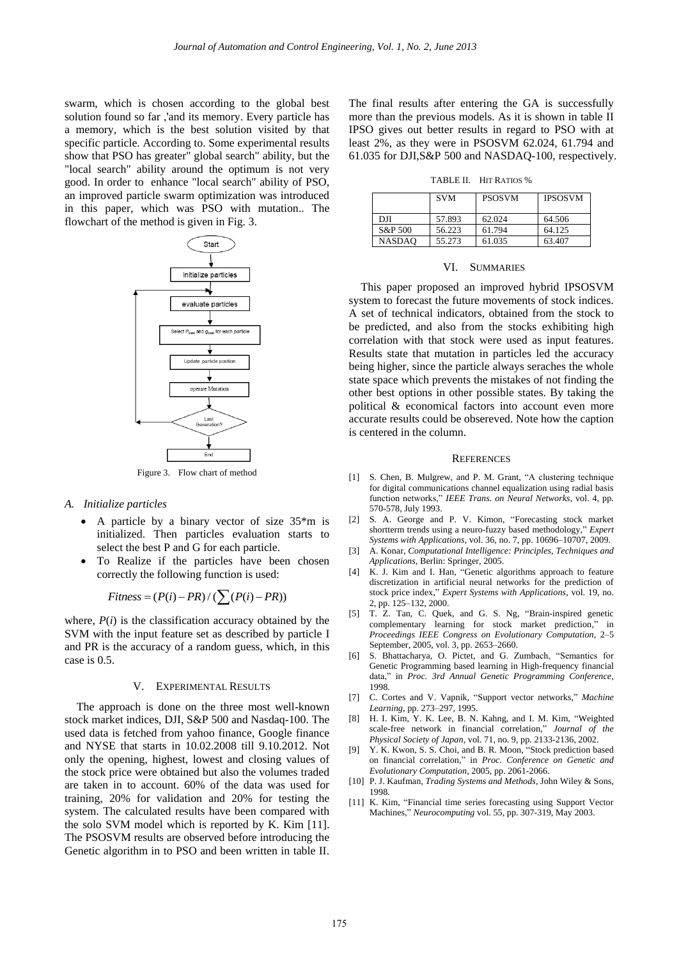swarm, which is chosen according to the global best solution found so far ,'and its memory. Every particle has a memory, which is the best solution visited by that specific particle. According to. Some experimental results show that PSO has greater" global search" ability, but the "local search" ability around the optimum is not very good. In order to enhance "local search" ability of PSO, an improved particle swarm optimization was introduced in this paper, which was PSO with mutation.. The flowchart of the method is given in Fig. 3.



## *A. Initialize particles*

- A particle by a binary vector of size 35\*m is initialized. Then particles evaluation starts to select the best P and G for each particle.
- To Realize if the particles have been chosen correctly the following function is used:

$$
Fitness = (P(i) - PR) / (\sum (P(i) - PR))
$$

where,  $P(i)$  is the classification accuracy obtained by the SVM with the input feature set as described by particle I and PR is the accuracy of a random guess, which, in this case is 0.5.

#### V. EXPERIMENTAL RESULTS

The approach is done on the three most well-known stock market indices, DJI, S&P 500 and Nasdaq-100. The used data is fetched from yahoo finance, Google finance and NYSE that starts in 10.02.2008 till 9.10.2012. Not only the opening, highest, lowest and closing values of the stock price were obtained but also the volumes traded are taken in to account. 60% of the data was used for training, 20% for validation and 20% for testing the system. The calculated results have been compared with the solo SVM model which is reported by K. Kim [11]. The PSOSVM results are observed before introducing the Genetic algorithm in to PSO and been written in table II.

The final results after entering the GA is successfully more than the previous models. As it is shown in table II IPSO gives out better results in regard to PSO with at least 2%, as they were in PSOSVM 62.024, 61.794 and 61.035 for DJI,S&P 500 and NASDAQ-100, respectively.

TABLE II. HIT RATIOS %

|               | <b>SVM</b> | <b>PSOSVM</b> | <b>IPSOSVM</b> |
|---------------|------------|---------------|----------------|
| DЛ            | 57.893     | 62.024        | 64.506         |
| S&P 500       | 56.223     | 61.794        | 64.125         |
| <b>NASDAO</b> | 55.273     | 61.035        | 63.407         |

#### VI. SUMMARIES

This paper proposed an improved hybrid IPSOSVM system to forecast the future movements of stock indices. A set of technical indicators, obtained from the stock to be predicted, and also from the stocks exhibiting high correlation with that stock were used as input features. Results state that mutation in particles led the accuracy being higher, since the particle always seraches the whole state space which prevents the mistakes of not finding the other best options in other possible states. By taking the political & economical factors into account even more accurate results could be obsereved. Note how the caption is centered in the column.

#### **REFERENCES**

- [1] S. Chen, B. Mulgrew, and P. M. Grant, "A clustering technique for digital communications channel equalization using radial basis function networks," *IEEE Trans. on Neural Networks*, vol. 4, pp. 570-578, July 1993.
- [2] S. A. George and P. V. Kimon, "Forecasting stock market shortterm trends using a neuro-fuzzy based methodology," *Expert Systems with Applications*, vol. 36, no. 7, pp. 10696–10707, 2009.
- [3] A. Konar, *Computational Intelligence: Principles, Techniques and Applications*, Berlin: Springer, 2005.
- [4] K. J. Kim and I. Han, "Genetic algorithms approach to feature discretization in artificial neural networks for the prediction of stock price index," *Expert Systems with Applications*, vol. 19, no. 2, pp. 125–132, 2000.
- [5] T. Z. Tan, C. Quek, and G. S. Ng, "Brain-inspired genetic complementary learning for stock market prediction," in *Proceedings IEEE Congress on Evolutionary Computation*, 2–5 September, 2005, vol. 3, pp. 2653–2660.
- [6] S. Bhattacharya, O. Pictet, and G. Zumbach, "Semantics for Genetic Programming based learning in High-frequency financial data," in *Proc. 3rd Annual Genetic Programming Conference*, 1998.
- [7] C. Cortes and V. Vapnik, "Support vector networks," *Machine Learning*, pp. 273–297, 1995.
- [8] H. I. Kim, Y. K. Lee, B. N. Kahng, and I. M. Kim, "Weighted scale-free network in financial correlation," *Journal of the Physical Society of Japan*, vol. 71, no. 9, pp. 2133-2136, 2002.
- [9] Y. K. Kwon, S. S. Choi, and B. R. Moon, "Stock prediction based on financial correlation," in *Proc. Conference on Genetic and Evolutionary Computation*, 2005, pp. 2061-2066.
- [10] P. J. Kaufman, *Trading Systems and Methods*, John Wiley & Sons, 1998.
- [11] K. Kim, "Financial time series forecasting using Support Vector Machines," *Neurocomputing* vol. 55, pp. 307-319, May 2003.